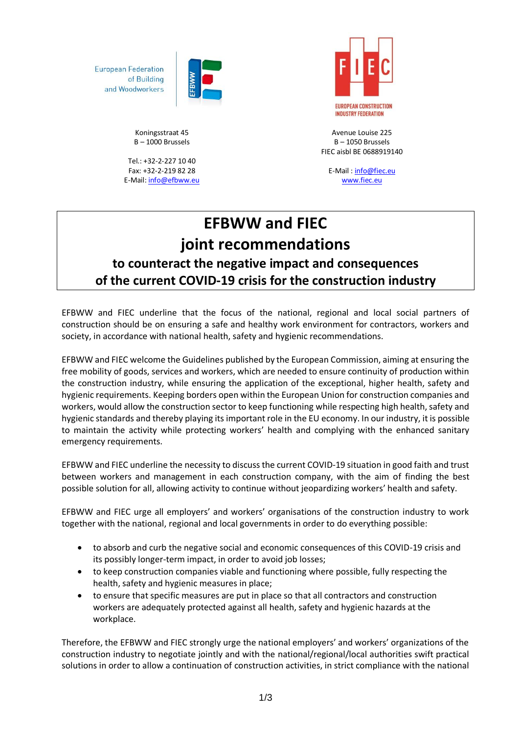

**European Federation** of Building and Woodworkers

> Koningsstraat 45 B – 1000 Brussels

Tel.: +32-2-227 10 40 Fax: +32-2-219 82 28 E-Mail[: info@efbww.eu](mailto:info@efbww.eu)



Avenue Louise 225 B – 1050 Brussels FIEC aisbl BE 0688919140

E-Mail [: info@fiec.eu](mailto:info@fiec.eu) [www.fiec.eu](http://www.fiec.eu/)

## **EFBWW and FIEC joint recommendations to counteract the negative impact and consequences of the current COVID-19 crisis for the construction industry**

EFBWW and FIEC underline that the focus of the national, regional and local social partners of construction should be on ensuring a safe and healthy work environment for contractors, workers and society, in accordance with national health, safety and hygienic recommendations.

EFBWW and FIEC welcome the Guidelines published by the European Commission, aiming at ensuring the free mobility of goods, services and workers, which are needed to ensure continuity of production within the construction industry, while ensuring the application of the exceptional, higher health, safety and hygienic requirements. Keeping borders open within the European Union for construction companies and workers, would allow the construction sector to keep functioning while respecting high health, safety and hygienic standards and thereby playing its important role in the EU economy. In our industry, it is possible to maintain the activity while protecting workers' health and complying with the enhanced sanitary emergency requirements.

EFBWW and FIEC underline the necessity to discuss the current COVID-19 situation in good faith and trust between workers and management in each construction company, with the aim of finding the best possible solution for all, allowing activity to continue without jeopardizing workers' health and safety.

EFBWW and FIEC urge all employers' and workers' organisations of the construction industry to work together with the national, regional and local governments in order to do everything possible:

- to absorb and curb the negative social and economic consequences of this COVID-19 crisis and its possibly longer-term impact, in order to avoid job losses;
- to keep construction companies viable and functioning where possible, fully respecting the health, safety and hygienic measures in place;
- to ensure that specific measures are put in place so that all contractors and construction workers are adequately protected against all health, safety and hygienic hazards at the workplace.

Therefore, the EFBWW and FIEC strongly urge the national employers' and workers' organizations of the construction industry to negotiate jointly and with the national/regional/local authorities swift practical solutions in order to allow a continuation of construction activities, in strict compliance with the national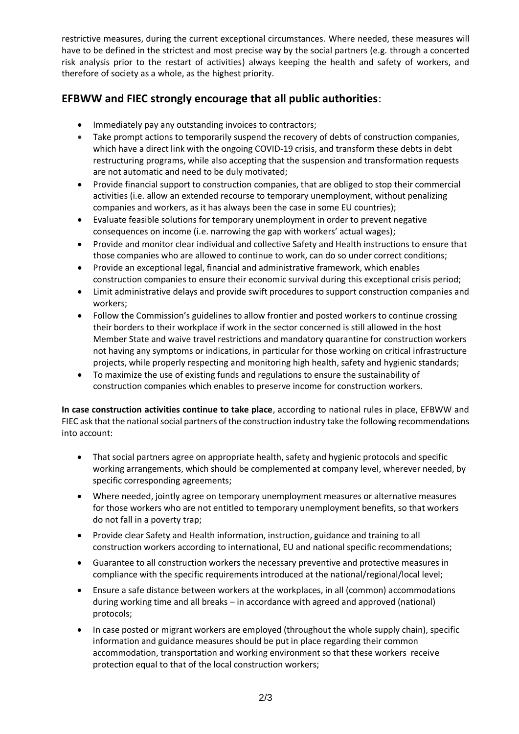restrictive measures, during the current exceptional circumstances. Where needed, these measures will have to be defined in the strictest and most precise way by the social partners (e.g. through a concerted risk analysis prior to the restart of activities) always keeping the health and safety of workers, and therefore of society as a whole, as the highest priority.

## **EFBWW and FIEC strongly encourage that all public authorities**:

- Immediately pay any outstanding invoices to contractors;
- Take prompt actions to temporarily suspend the recovery of debts of construction companies, which have a direct link with the ongoing COVID-19 crisis, and transform these debts in debt restructuring programs, while also accepting that the suspension and transformation requests are not automatic and need to be duly motivated;
- Provide financial support to construction companies, that are obliged to stop their commercial activities (i.e. allow an extended recourse to temporary unemployment, without penalizing companies and workers, as it has always been the case in some EU countries);
- Evaluate feasible solutions for temporary unemployment in order to prevent negative consequences on income (i.e. narrowing the gap with workers' actual wages);
- Provide and monitor clear individual and collective Safety and Health instructions to ensure that those companies who are allowed to continue to work, can do so under correct conditions;
- Provide an exceptional legal, financial and administrative framework, which enables construction companies to ensure their economic survival during this exceptional crisis period;
- Limit administrative delays and provide swift procedures to support construction companies and workers;
- Follow the Commission's guidelines to allow frontier and posted workers to continue crossing their borders to their workplace if work in the sector concerned is still allowed in the host Member State and waive travel restrictions and mandatory quarantine for construction workers not having any symptoms or indications, in particular for those working on critical infrastructure projects, while properly respecting and monitoring high health, safety and hygienic standards;
- To maximize the use of existing funds and regulations to ensure the sustainability of construction companies which enables to preserve income for construction workers.

**In case construction activities continue to take place**, according to national rules in place, EFBWW and FIEC ask that the national social partners of the construction industry take the following recommendations into account:

- That social partners agree on appropriate health, safety and hygienic protocols and specific working arrangements, which should be complemented at company level, wherever needed, by specific corresponding agreements;
- Where needed, jointly agree on temporary unemployment measures or alternative measures for those workers who are not entitled to temporary unemployment benefits, so that workers do not fall in a poverty trap;
- Provide clear Safety and Health information, instruction, guidance and training to all construction workers according to international, EU and national specific recommendations;
- Guarantee to all construction workers the necessary preventive and protective measures in compliance with the specific requirements introduced at the national/regional/local level;
- Ensure a safe distance between workers at the workplaces, in all (common) accommodations during working time and all breaks – in accordance with agreed and approved (national) protocols;
- In case posted or migrant workers are employed (throughout the whole supply chain), specific information and guidance measures should be put in place regarding their common accommodation, transportation and working environment so that these workers receive protection equal to that of the local construction workers;